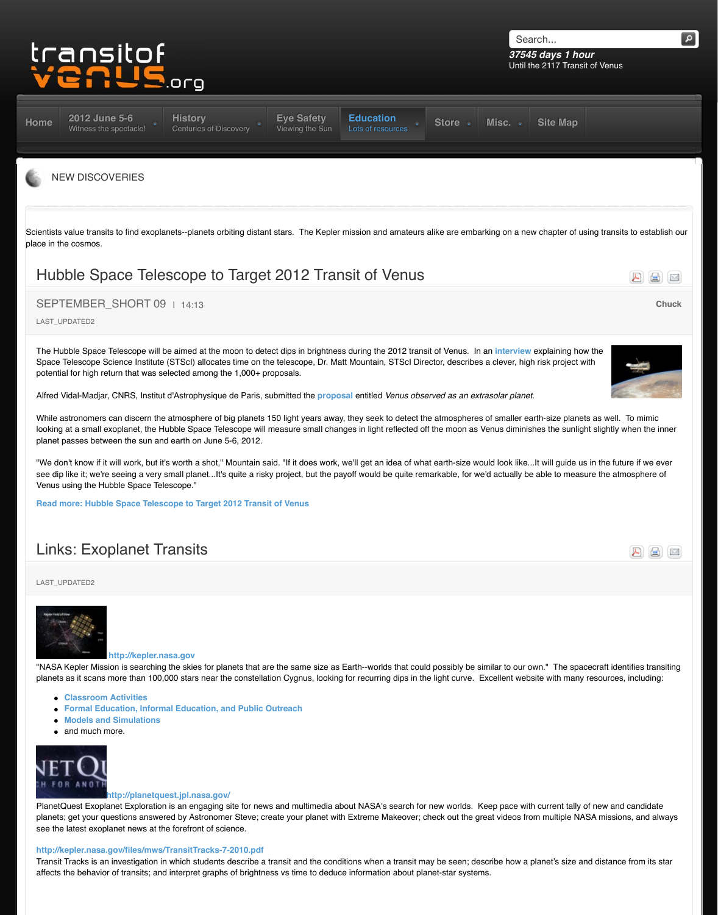Space Telescope Science Institute (STScI) allocates time on the telescope, Dr. Matt Mountain, STScI Dire potential for high return that was selected among the 1,000+ proposals.

Alfred Vidal-Madjar, CNRS, Institut d'Astrophysique de Paris, submitted the **proposal** entitled Venus observed as

While astronomers can discern the atmosphere of big planets 150 light years away, they seek to detect the looking at a small exoplanet, the Hubble Space Telescope will measure small changes in light reflected of planet passes between the sun and earth on June 5-6, 2012.

"We don't know if it will work, but it's worth a shot," Mountain said. "If it does work, we'll get an idea of wha [see di](http://www.transitofvenus.org/)[p like it; we're seeing a very](http://www.transitofvenus.org/june2012) [small planet...It's quite a risk](http://www.transitofvenus.org/history)[y project, but the p](http://www.transitofvenus.org/june2012/eye-safety)[ayoff would be quite rem](http://www.transitofvenus.org/education) Venus using the Hubble Space Telescope."

**Read more: Hubble Space Telescope to Target 2012 Transit of Venus**

# Links: Exoplanet Transits

### LAST\_UPDATED2



### **http://kepler.nasa.gov**

"NASA Kepler Mission is searching the skies for planets that are the same size as Earth--worlds that could planets as it scans more than 100,000 stars near the constellation Cygnus, looking for recurring dips in the

- **Classroom Activities**
- **Formal Education, Informal Education, and Public Outreach**
- **Models and Simulations**
- and much more.



### **http://planetquest.jpl.nasa.gov/**

PlanetQuest Exoplanet Exploration is an engaging site for news and multimedia about NASA's search for planets; get your questions answered by Astronomer Steve; create your planet with Extreme Makeover; check out see the latest exoplanet news at the forefront of science.

### **http://kepler.nasa.gov/files/mws/TransitTracks-7-2010.pdf**

[Transit Tracks is an investigation in which students describe a transit and](http://www.transitofvenus.org/education/new-discoveries/296-hubble-space-telescope-to-target-2012-transit-of-venus) the conditions when a transit ma affects the behavior of transits; and interpret graphs of brightness vs time to deduce information about pla